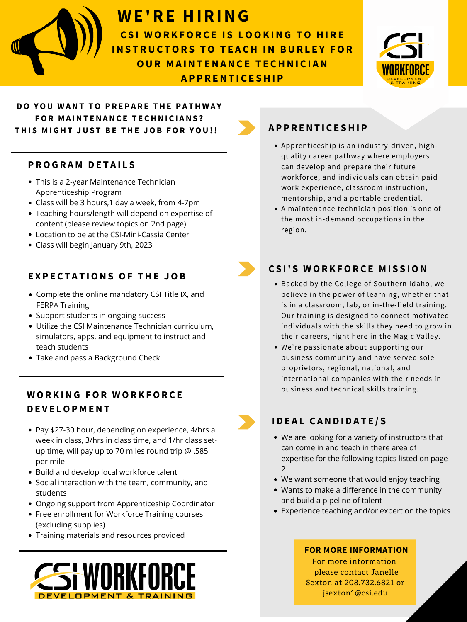

For more information please contact Janelle Sexton at 208.732.6821 or jsexton1@csi.edu

Backed by the College of Southern Idaho, we believe in the power of learning, whether that is in a classroom, lab, or in-the-field training. Our training is designed to connect motivated individuals with the skills they need to grow in their careers, right here in the Magic Valley.

• Take and pass a Background Check

We're passionate about supporting our business community and have served sole proprietors, regional, national, and international companies with their needs in business and technical skills training.

## **WE'RE HIRING**

#### **C S I ' S W OR K FOR C E M I S S ION**

- Pay \$27-30 hour, depending on experience, 4/hrs a week in class, 3/hrs in class time, and 1/hr class setup time, will pay up to 70 miles round trip @ .585 per mile
- Build and develop local workforce talent
- Social interaction with the team, community, and students
- Ongoing support from Apprenticeship Coordinator
- Free enrollment for Workforce Training courses (excluding supplies)
- Training materials and resources provided



#### **P ROG R A M D E T A I L S**

- Apprenticeship is an industry-driven, highquality career pathway where employers can develop and prepare their future workforce, and individuals can obtain paid work experience, classroom instruction, mentorship, and a portable credential.
- A maintenance technician position is one of the most in-demand occupations in the region.



### **A P P R ENT I C E SHI P**

**THE SET IS LOOKING TO HIRE** CSI WORKFORCE DEVELOPMENT AND MAINTENANCE TECHNICIAN **INS T RUC TOR S TO T E A CH IN BUR L E Y FOR OUR M A INT ENANC E T E CHNI C I AN A P P R ENT I C E SHI P**



- We are looking for a variety of instructors that can come in and teach in there area of expertise for the following topics listed on page 2
- We want someone that would enjoy teaching
- Wants to make a difference in the community and build a pipeline of talent
- Experience teaching and/or expert on the topics

#### **I D E A L C AND I D A T E / S**

#### **DO YOU W ANT TO P R E P A R E THE P A TH W A Y FOR M A INT ENANC E T E CHNI C I ANS ? THI S M I GHT JUS T B E THE JOB FOR YOU!!**

#### **W OR K ING FOR W OR K FOR C E D E V E LOP M ENT**

- This is a 2-year Maintenance Technician Apprenticeship Program
- Class will be 3 hours,1 day a week, from 4-7pm
- Teaching hours/length will depend on expertise of content (please review topics on 2nd page)
- Location to be at the CSI-Mini-Cassia Center
- Class will begin January 9th, 2023

#### **FOR MORE INFORMATION**

#### **E X P E C T A T IONS OF THE JOB**

- Complete the online mandatory CSI Title IX, and FERPA Training
- Support students in ongoing success Utilize the CSI Maintenance Technician curriculum, simulators, apps, and equipment to instruct and teach students